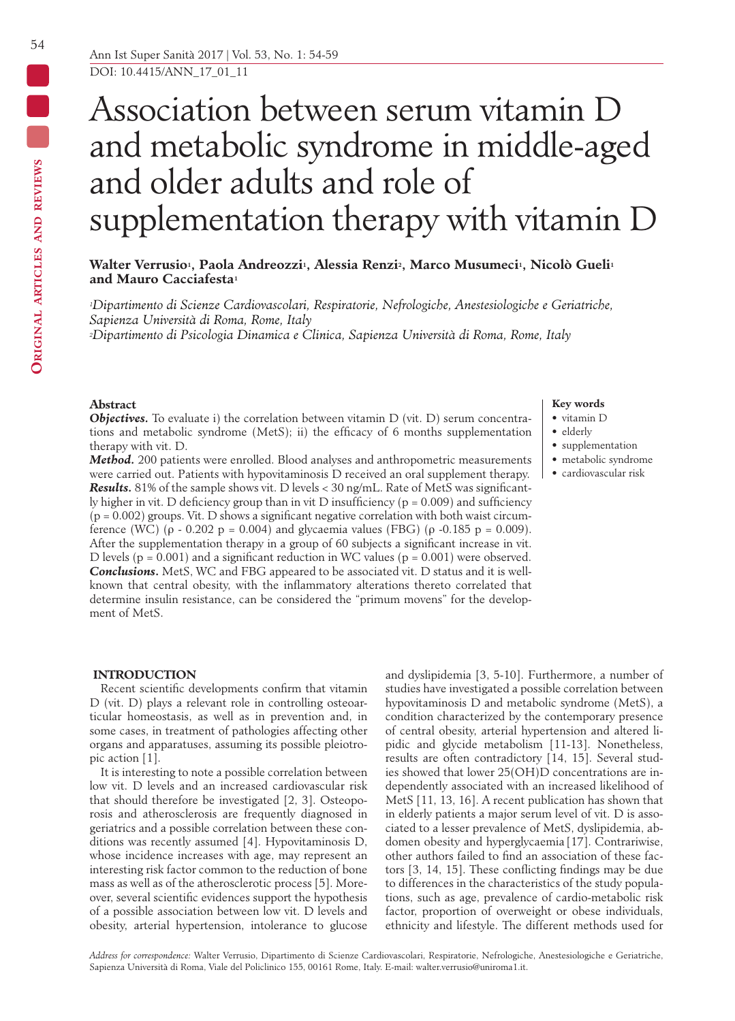# Association between serum vitamin D and metabolic syndrome in middle-aged and older adults and role of supplementation therapy with vitamin D

# **Walter Verrusio1, Paola Andreozzi1, Alessia Renzi2, Marco Musumeci1, Nicolò Gueli1 and Mauro Cacciafesta1**

*1Dipartimento di Scienze Cardiovascolari, Respiratorie, Nefrologiche, Anestesiologiche e Geriatriche, Sapienza Università di Roma, Rome, Italy*

*2Dipartimento di Psicologia Dinamica e Clinica, Sapienza Università di Roma, Rome, Italy*

## **Abstract**

*Objectives.* To evaluate i) the correlation between vitamin D (vit. D) serum concentrations and metabolic syndrome (MetS); ii) the efficacy of 6 months supplementation therapy with vit. D.

*Method.* 200 patients were enrolled. Blood analyses and anthropometric measurements were carried out. Patients with hypovitaminosis D received an oral supplement therapy. *Results.* 81% of the sample shows vit. D levels < 30 ng/mL. Rate of MetS was significantly higher in vit. D deficiency group than in vit D insufficiency ( $p = 0.009$ ) and sufficiency  $(p = 0.002)$  groups. Vit. D shows a significant negative correlation with both waist circumference (WC) (ρ - 0.202 p = 0.004) and glycaemia values (FBG) (ρ -0.185 p = 0.009). After the supplementation therapy in a group of 60 subjects a significant increase in vit. D levels ( $p = 0.001$ ) and a significant reduction in WC values ( $p = 0.001$ ) were observed. *Conclusions***.** MetS, WC and FBG appeared to be associated vit. D status and it is wellknown that central obesity, with the inflammatory alterations thereto correlated that determine insulin resistance, can be considered the "primum movens" for the development of MetS.

# **Key words**

- vitamin D • elderly
- 
- supplementation • metabolic syndrome
- cardiovascular risk
- 

# **INTRODUCTION**

Recent scientific developments confirm that vitamin D (vit. D) plays a relevant role in controlling osteoarticular homeostasis, as well as in prevention and, in some cases, in treatment of pathologies affecting other organs and apparatuses, assuming its possible pleiotropic action [1].

It is interesting to note a possible correlation between low vit. D levels and an increased cardiovascular risk that should therefore be investigated [2, 3]. Osteoporosis and atherosclerosis are frequently diagnosed in geriatrics and a possible correlation between these conditions was recently assumed [4]. Hypovitaminosis D, whose incidence increases with age, may represent an interesting risk factor common to the reduction of bone mass as well as of the atherosclerotic process [5]. Moreover, several scientific evidences support the hypothesis of a possible association between low vit. D levels and obesity, arterial hypertension, intolerance to glucose

and dyslipidemia [3, 5-10]. Furthermore, a number of studies have investigated a possible correlation between hypovitaminosis D and metabolic syndrome (MetS), a condition characterized by the contemporary presence of central obesity, arterial hypertension and altered lipidic and glycide metabolism [11-13]. Nonetheless, results are often contradictory [14, 15]. Several studies showed that lower 25(OH)D concentrations are independently associated with an increased likelihood of MetS [11, 13, 16]. A recent publication has shown that in elderly patients a major serum level of vit. D is associated to a lesser prevalence of MetS, dyslipidemia, abdomen obesity and hyperglycaemia [17]. Contrariwise, other authors failed to find an association of these factors [3, 14, 15]. These conflicting findings may be due to differences in the characteristics of the study populations, such as age, prevalence of cardio-metabolic risk factor, proportion of overweight or obese individuals, ethnicity and lifestyle. The different methods used for

 $\blacksquare$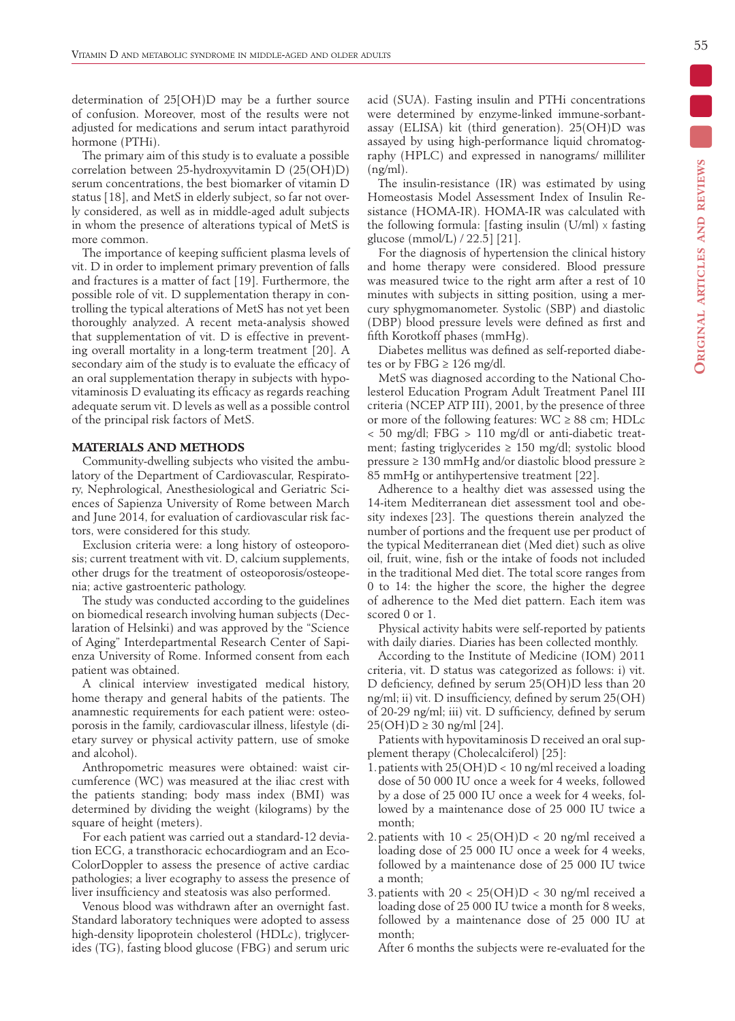determination of 25[OH)D may be a further source of confusion. Moreover, most of the results were not adjusted for medications and serum intact parathyroid hormone (PTHi).

The primary aim of this study is to evaluate a possible correlation between 25-hydroxyvitamin D (25(OH)D) serum concentrations, the best biomarker of vitamin D status [18], and MetS in elderly subject, so far not overly considered, as well as in middle-aged adult subjects in whom the presence of alterations typical of MetS is more common.

The importance of keeping sufficient plasma levels of vit. D in order to implement primary prevention of falls and fractures is a matter of fact [19]. Furthermore, the possible role of vit. D supplementation therapy in controlling the typical alterations of MetS has not yet been thoroughly analyzed. A recent meta-analysis showed that supplementation of vit. D is effective in preventing overall mortality in a long-term treatment [20]. A secondary aim of the study is to evaluate the efficacy of an oral supplementation therapy in subjects with hypovitaminosis D evaluating its efficacy as regards reaching adequate serum vit. D levels as well as a possible control of the principal risk factors of MetS.

# **MATERIALS AND METHODS**

Community-dwelling subjects who visited the ambulatory of the Department of Cardiovascular, Respiratory, Nephrological, Anesthesiological and Geriatric Sciences of Sapienza University of Rome between March and June 2014, for evaluation of cardiovascular risk factors, were considered for this study.

Exclusion criteria were: a long history of osteoporosis; current treatment with vit. D, calcium supplements, other drugs for the treatment of osteoporosis/osteopenia; active gastroenteric pathology.

The study was conducted according to the guidelines on biomedical research involving human subjects (Declaration of Helsinki) and was approved by the ''Science of Aging'' Interdepartmental Research Center of Sapienza University of Rome. Informed consent from each patient was obtained.

A clinical interview investigated medical history, home therapy and general habits of the patients. The anamnestic requirements for each patient were: osteoporosis in the family, cardiovascular illness, lifestyle (dietary survey or physical activity pattern, use of smoke and alcohol).

Anthropometric measures were obtained: waist circumference (WC) was measured at the iliac crest with the patients standing; body mass index (BMI) was determined by dividing the weight (kilograms) by the square of height (meters).

For each patient was carried out a standard-12 deviation ECG, a transthoracic echocardiogram and an Eco-ColorDoppler to assess the presence of active cardiac pathologies; a liver ecography to assess the presence of liver insufficiency and steatosis was also performed.

Venous blood was withdrawn after an overnight fast. Standard laboratory techniques were adopted to assess high-density lipoprotein cholesterol (HDLc), triglycerides (TG), fasting blood glucose (FBG) and serum uric acid (SUA). Fasting insulin and PTHi concentrations were determined by enzyme-linked immune-sorbantassay (ELISA) kit (third generation). 25(OH)D was assayed by using high-performance liquid chromatography (HPLC) and expressed in nanograms/ milliliter  $(ng/ml)$ .

The insulin-resistance (IR) was estimated by using Homeostasis Model Assessment Index of Insulin Resistance (HOMA-IR). HOMA-IR was calculated with the following formula: [fasting insulin  $(U/ml) \times$  fasting glucose (mmol/L) / 22.5] [21].

For the diagnosis of hypertension the clinical history and home therapy were considered. Blood pressure was measured twice to the right arm after a rest of 10 minutes with subjects in sitting position, using a mercury sphygmomanometer. Systolic (SBP) and diastolic (DBP) blood pressure levels were defined as first and fifth Korotkoff phases (mmHg).

Diabetes mellitus was defined as self-reported diabetes or by FBG  $\geq$  126 mg/dl.

MetS was diagnosed according to the National Cholesterol Education Program Adult Treatment Panel III criteria (NCEP ATP III), 2001, by the presence of three or more of the following features:  $WC \ge 88$  cm; HDLc < 50 mg/dl; FBG > 110 mg/dl or anti-diabetic treatment; fasting triglycerides  $\geq 150$  mg/dl; systolic blood pressure ≥ 130 mmHg and/or diastolic blood pressure ≥ 85 mmHg or antihypertensive treatment [22].

Adherence to a healthy diet was assessed using the 14-item Mediterranean diet assessment tool and obesity indexes [23]. The questions therein analyzed the number of portions and the frequent use per product of the typical Mediterranean diet (Med diet) such as olive oil, fruit, wine, fish or the intake of foods not included in the traditional Med diet. The total score ranges from 0 to 14: the higher the score, the higher the degree of adherence to the Med diet pattern. Each item was scored 0 or 1.

Physical activity habits were self-reported by patients with daily diaries. Diaries has been collected monthly.

According to the Institute of Medicine (IOM) 2011 criteria, vit. D status was categorized as follows: i) vit. D deficiency, defined by serum 25(OH)D less than 20 ng/ml; ii) vit. D insufficiency, defined by serum 25(OH) of 20-29 ng/ml; iii) vit. D sufficiency, defined by serum  $25(OH)D \ge 30$  ng/ml [24].

Patients with hypovitaminosis D received an oral supplement therapy (Cholecalciferol) [25]:

- 1.patients with 25(OH)D < 10 ng/ml received a loading dose of 50 000 IU once a week for 4 weeks, followed by a dose of 25 000 IU once a week for 4 weeks, followed by a maintenance dose of 25 000 IU twice a month;
- 2. patients with  $10 < 25(OH)D < 20$  ng/ml received a loading dose of 25 000 IU once a week for 4 weeks, followed by a maintenance dose of 25 000 IU twice a month;
- 3. patients with  $20 < 25(OH)D < 30$  ng/ml received a loading dose of 25 000 IU twice a month for 8 weeks, followed by a maintenance dose of 25 000 IU at month;

After 6 months the subjects were re-evaluated for the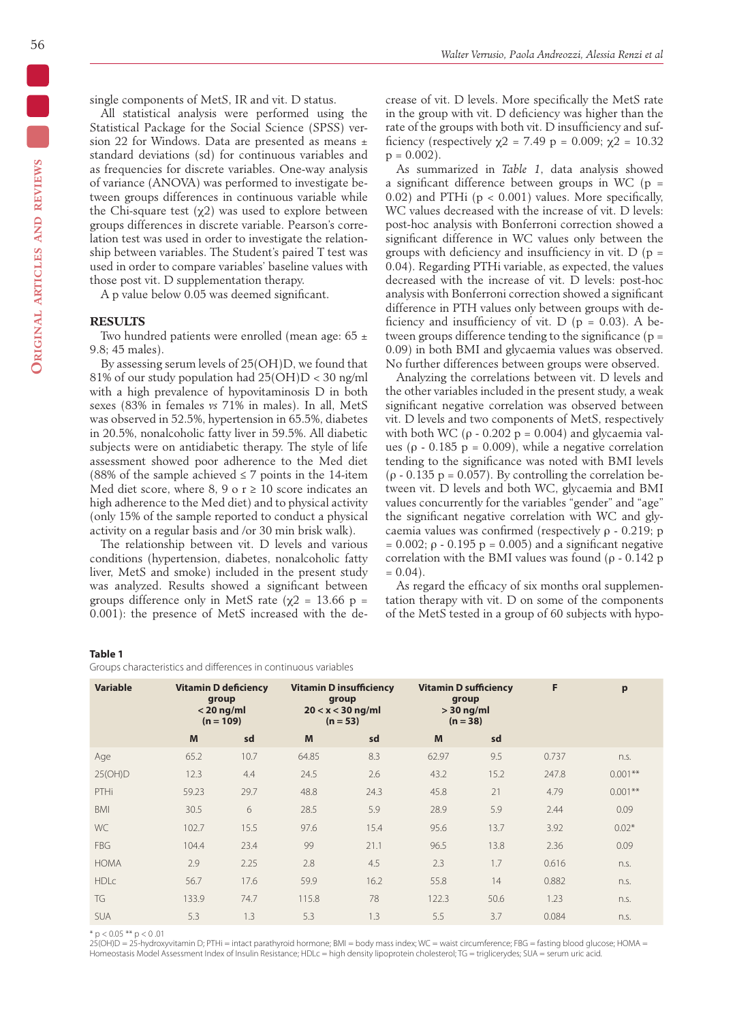single components of MetS, IR and vit. D status.

All statistical analysis were performed using the Statistical Package for the Social Science (SPSS) version 22 for Windows. Data are presented as means ± standard deviations (sd) for continuous variables and as frequencies for discrete variables. One-way analysis of variance (ANOVA) was performed to investigate between groups differences in continuous variable while the Chi-square test  $(\chi^2)$  was used to explore between groups differences in discrete variable. Pearson's correlation test was used in order to investigate the relationship between variables. The Student's paired T test was used in order to compare variables' baseline values with those post vit. D supplementation therapy.

A p value below 0.05 was deemed significant.

#### **RESULTS**

Two hundred patients were enrolled (mean age:  $65 \pm$ 9.8; 45 males).

By assessing serum levels of 25(OH)D, we found that 81% of our study population had  $25(OH)D < 30$  ng/ml with a high prevalence of hypovitaminosis D in both sexes (83% in females *vs* 71% in males). In all, MetS was observed in 52.5%, hypertension in 65.5%, diabetes in 20.5%, nonalcoholic fatty liver in 59.5%. All diabetic subjects were on antidiabetic therapy. The style of life assessment showed poor adherence to the Med diet (88% of the sample achieved  $\leq$  7 points in the 14-item Med diet score, where  $8, 9$  o  $r \ge 10$  score indicates an high adherence to the Med diet) and to physical activity (only 15% of the sample reported to conduct a physical activity on a regular basis and /or 30 min brisk walk).

The relationship between vit. D levels and various conditions (hypertension, diabetes, nonalcoholic fatty liver, MetS and smoke) included in the present study was analyzed. Results showed a significant between groups difference only in MetS rate ( $\chi$ 2 = 13.66 p = 0.001): the presence of MetS increased with the decrease of vit. D levels. More specifically the MetS rate in the group with vit. D deficiency was higher than the rate of the groups with both vit. D insufficiency and sufficiency (respectively  $\chi$ 2 = 7.49 p = 0.009;  $\chi$ 2 = 10.32  $p = 0.002$ ).

As summarized in *Table 1*, data analysis showed a significant difference between groups in WC ( $p =$ 0.02) and PTHi ( $p < 0.001$ ) values. More specifically, WC values decreased with the increase of vit. D levels: post-hoc analysis with Bonferroni correction showed a significant difference in WC values only between the groups with deficiency and insufficiency in vit.  $D (p =$ 0.04). Regarding PTHi variable, as expected, the values decreased with the increase of vit. D levels: post-hoc analysis with Bonferroni correction showed a significant difference in PTH values only between groups with deficiency and insufficiency of vit. D ( $p = 0.03$ ). A between groups difference tending to the significance ( $p =$ 0.09) in both BMI and glycaemia values was observed. No further differences between groups were observed.

Analyzing the correlations between vit. D levels and the other variables included in the present study, a weak significant negative correlation was observed between vit. D levels and two components of MetS, respectively with both WC ( $ρ$  - 0.202  $p = 0.004$ ) and glycaemia values ( $\rho$  - 0.185 p = 0.009), while a negative correlation tending to the significance was noted with BMI levels ( $\rho$  - 0.135 p = 0.057). By controlling the correlation between vit. D levels and both WC, glycaemia and BMI values concurrently for the variables "gender" and "age" the significant negative correlation with WC and glycaemia values was confirmed (respectively ρ - 0.219; p = 0.002;  $\rho$  - 0.195 p = 0.005) and a significant negative correlation with the BMI values was found ( $\rho$  - 0.142 p  $= 0.04$ ).

As regard the efficacy of six months oral supplementation therapy with vit. D on some of the components of the MetS tested in a group of 60 subjects with hypo-

#### **Table 1**

Groups characteristics and differences in continuous variables

| <b>Variable</b> | <b>Vitamin D deficiency</b><br>group<br>$<$ 20 ng/ml<br>$(n = 109)$ |      | <b>Vitamin D insufficiency</b><br>group<br>$20 < x < 30$ ng/ml<br>$(n = 53)$ |      | <b>Vitamin D sufficiency</b><br>group<br>$>$ 30 ng/ml<br>$(n = 38)$ |      | F     | p         |
|-----------------|---------------------------------------------------------------------|------|------------------------------------------------------------------------------|------|---------------------------------------------------------------------|------|-------|-----------|
|                 | M                                                                   | sd   | M                                                                            | sd   | M                                                                   | sd   |       |           |
| Age             | 65.2                                                                | 10.7 | 64.85                                                                        | 8.3  | 62.97                                                               | 9.5  | 0.737 | n.s.      |
| 25(OH)D         | 12.3                                                                | 4.4  | 24.5                                                                         | 2.6  | 43.2                                                                | 15.2 | 247.8 | $0.001**$ |
| PTHi            | 59.23                                                               | 29.7 | 48.8                                                                         | 24.3 | 45.8                                                                | 21   | 4.79  | $0.001**$ |
| <b>BMI</b>      | 30.5                                                                | 6    | 28.5                                                                         | 5.9  | 28.9                                                                | 5.9  | 2.44  | 0.09      |
| WC              | 102.7                                                               | 15.5 | 97.6                                                                         | 15.4 | 95.6                                                                | 13.7 | 3.92  | $0.02*$   |
| <b>FBG</b>      | 104.4                                                               | 23.4 | 99                                                                           | 21.1 | 96.5                                                                | 13.8 | 2.36  | 0.09      |
| <b>HOMA</b>     | 2.9                                                                 | 2.25 | 2.8                                                                          | 4.5  | 2.3                                                                 | 1.7  | 0.616 | n.s.      |
| <b>HDLC</b>     | 56.7                                                                | 17.6 | 59.9                                                                         | 16.2 | 55.8                                                                | 14   | 0.882 | n.s.      |
| TG              | 133.9                                                               | 74.7 | 115.8                                                                        | 78   | 122.3                                                               | 50.6 | 1.23  | n.s.      |
| <b>SUA</b>      | 5.3                                                                 | 1.3  | 5.3                                                                          | 1.3  | 5.5                                                                 | 3.7  | 0.084 | n.s.      |

 $*$  p < 0.05  $**$  p < 0.01

25(OH)D = 25-hydroxyvitamin D; PTHi = intact parathyroid hormone; BMI = body mass index; WC = waist circumference; FBG = fasting blood glucose; HOMA = Homeostasis Model Assessment Index of Insulin Resistance: HDLc = high density lipoprotein cholesterol; TG = triglicerydes; SUA = serum uric acid.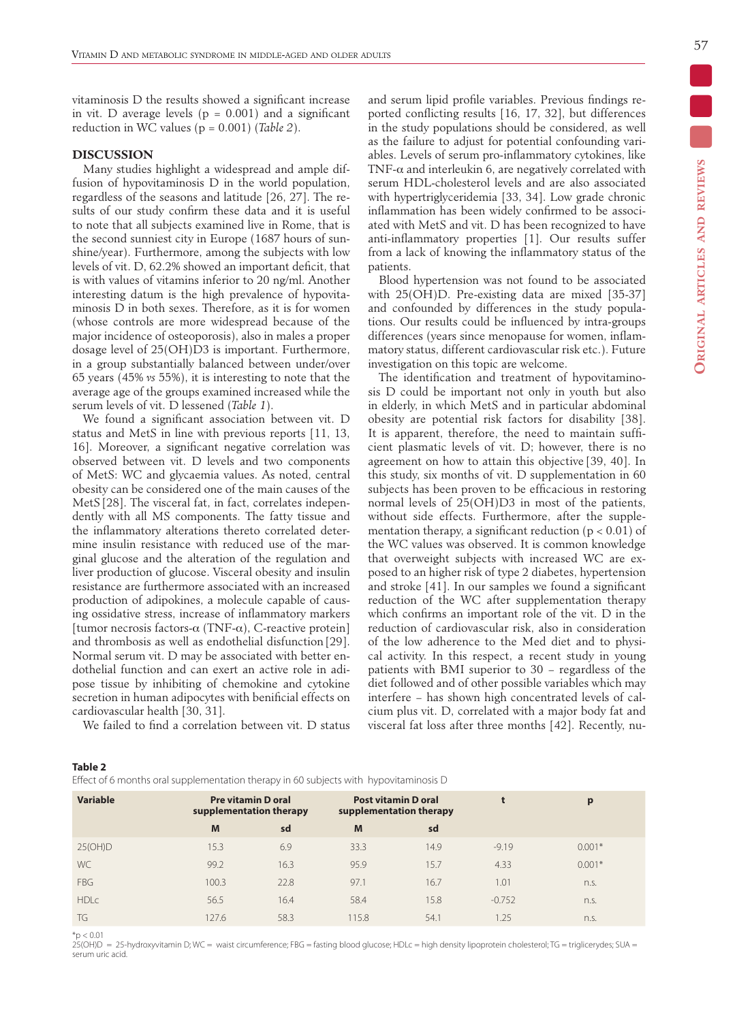vitaminosis D the results showed a significant increase in vit. D average levels ( $p = 0.001$ ) and a significant reduction in WC values (p = 0.001) (*Table 2*).

#### **DISCUSSION**

Many studies highlight a widespread and ample diffusion of hypovitaminosis D in the world population, regardless of the seasons and latitude [26, 27]. The results of our study confirm these data and it is useful to note that all subjects examined live in Rome, that is the second sunniest city in Europe (1687 hours of sunshine/year). Furthermore, among the subjects with low levels of vit. D, 62.2% showed an important deficit, that is with values of vitamins inferior to 20 ng/ml. Another interesting datum is the high prevalence of hypovitaminosis D in both sexes. Therefore, as it is for women (whose controls are more widespread because of the major incidence of osteoporosis), also in males a proper dosage level of 25(OH)D3 is important. Furthermore, in a group substantially balanced between under/over 65 years (45% *vs* 55%), it is interesting to note that the average age of the groups examined increased while the serum levels of vit. D lessened (*Table 1*).

We found a significant association between vit. D status and MetS in line with previous reports [11, 13, 16]. Moreover, a significant negative correlation was observed between vit. D levels and two components of MetS: WC and glycaemia values. As noted, central obesity can be considered one of the main causes of the MetS [28]. The visceral fat, in fact, correlates independently with all MS components. The fatty tissue and the inflammatory alterations thereto correlated determine insulin resistance with reduced use of the marginal glucose and the alteration of the regulation and liver production of glucose. Visceral obesity and insulin resistance are furthermore associated with an increased production of adipokines, a molecule capable of causing ossidative stress, increase of inflammatory markers [tumor necrosis factors- $\alpha$  (TNF- $\alpha$ ), C-reactive protein] and thrombosis as well as endothelial disfunction [29]. Normal serum vit. D may be associated with better endothelial function and can exert an active role in adipose tissue by inhibiting of chemokine and cytokine secretion in human adipocytes with benificial effects on cardiovascular health [30, 31].

We failed to find a correlation between vit. D status

and serum lipid profile variables. Previous findings reported conflicting results [16, 17, 32], but differences in the study populations should be considered, as well as the failure to adjust for potential confounding variables. Levels of serum pro-inflammatory cytokines, like TNF- $\alpha$  and interleukin 6, are negatively correlated with serum HDL-cholesterol levels and are also associated with hypertriglyceridemia [33, 34]. Low grade chronic inflammation has been widely confirmed to be associated with MetS and vit. D has been recognized to have anti-inflammatory properties [1]. Our results suffer from a lack of knowing the inflammatory status of the patients.

Blood hypertension was not found to be associated with 25(OH)D. Pre-existing data are mixed [35-37] and confounded by differences in the study populations. Our results could be influenced by intra-groups differences (years since menopause for women, inflammatory status, different cardiovascular risk etc.). Future investigation on this topic are welcome.

The identification and treatment of hypovitaminosis D could be important not only in youth but also in elderly, in which MetS and in particular abdominal obesity are potential risk factors for disability [38]. It is apparent, therefore, the need to maintain sufficient plasmatic levels of vit. D; however, there is no agreement on how to attain this objective [39, 40]. In this study, six months of vit. D supplementation in 60 subjects has been proven to be efficacious in restoring normal levels of 25(OH)D3 in most of the patients, without side effects. Furthermore, after the supplementation therapy, a significant reduction ( $p < 0.01$ ) of the WC values was observed. It is common knowledge that overweight subjects with increased WC are exposed to an higher risk of type 2 diabetes, hypertension and stroke [41]. In our samples we found a significant reduction of the WC after supplementation therapy which confirms an important role of the vit. D in the reduction of cardiovascular risk, also in consideration of the low adherence to the Med diet and to physical activity. In this respect, a recent study in young patients with BMI superior to 30 − regardless of the diet followed and of other possible variables which may interfere − has shown high concentrated levels of calcium plus vit. D, correlated with a major body fat and visceral fat loss after three months [42]. Recently, nu-

| . .<br>$\sim$ |  |
|---------------|--|
|---------------|--|

Effect of 6 months oral supplementation therapy in 60 subjects with hypovitaminosis D

|                 |                                                      | . .  |                                                       |      |          |              |  |
|-----------------|------------------------------------------------------|------|-------------------------------------------------------|------|----------|--------------|--|
| <b>Variable</b> | <b>Pre vitamin D oral</b><br>supplementation therapy |      | <b>Post vitamin D oral</b><br>supplementation therapy |      |          | $\mathbf{p}$ |  |
|                 | M                                                    | sd   | M                                                     | sd   |          |              |  |
| 25(OH)D         | 15.3                                                 | 6.9  | 33.3                                                  | 14.9 | $-9.19$  | $0.001*$     |  |
| WC              | 99.2                                                 | 16.3 | 95.9                                                  | 15.7 | 4.33     | $0.001*$     |  |
| <b>FBG</b>      | 100.3                                                | 22.8 | 97.1                                                  | 16.7 | 1.01     | n.S.         |  |
| <b>HDLc</b>     | 56.5                                                 | 16.4 | 58.4                                                  | 15.8 | $-0.752$ | n.S.         |  |
| TG              | 127.6                                                | 58.3 | 115.8                                                 | 54.1 | .25      | n.s.         |  |
|                 |                                                      |      |                                                       |      |          |              |  |

 $*_{\text{p}} < 0.01$ 

25(OH)D = 25-hydroxyvitamin D; WC = waist circumference; FBG = fasting blood glucose; HDLc = high density lipoprotein cholesterol; TG = triglicerydes; SUA = serum uric acid.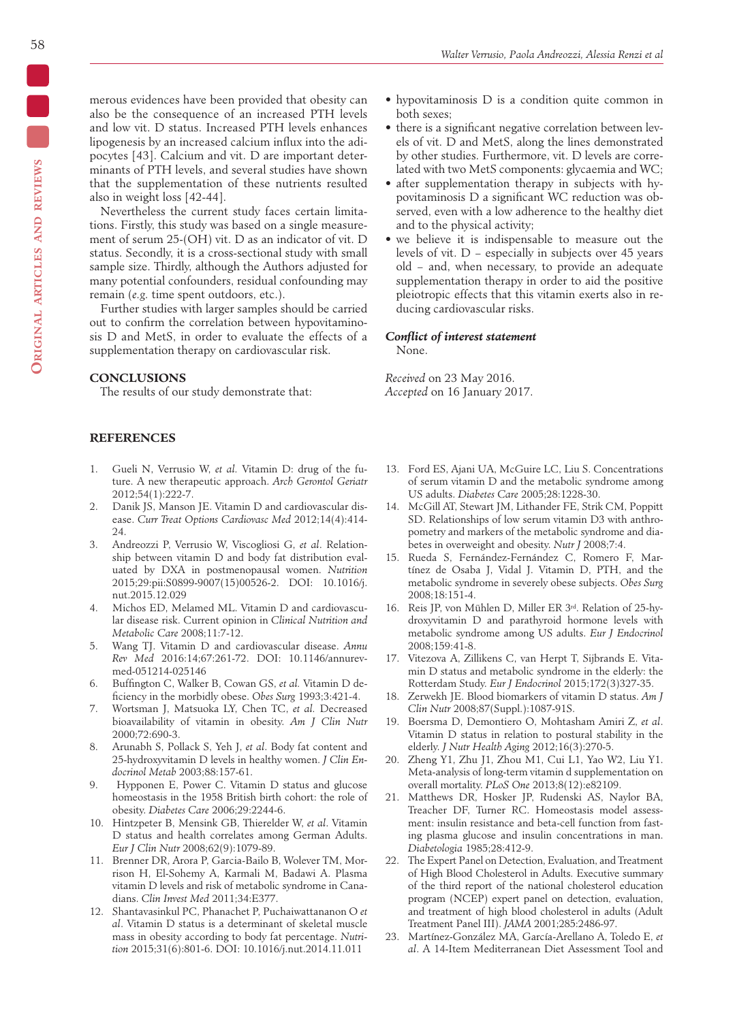merous evidences have been provided that obesity can also be the consequence of an increased PTH levels and low vit. D status. Increased PTH levels enhances lipogenesis by an increased calcium influx into the adipocytes [43]. Calcium and vit. D are important determinants of PTH levels, and several studies have shown that the supplementation of these nutrients resulted also in weight loss [42-44].

Nevertheless the current study faces certain limitations. Firstly, this study was based on a single measurement of serum 25-(OH) vit. D as an indicator of vit. D status. Secondly, it is a cross-sectional study with small sample size. Thirdly, although the Authors adjusted for many potential confounders, residual confounding may remain (*e.g.* time spent outdoors, etc.).

Further studies with larger samples should be carried out to confirm the correlation between hypovitaminosis D and MetS, in order to evaluate the effects of a supplementation therapy on cardiovascular risk.

#### **CONCLUSIONS**

The results of our study demonstrate that:

## **REFERENCES**

- 1. Gueli N, Verrusio W, *et al.* Vitamin D: drug of the future. A new therapeutic approach. *Arch Gerontol Geriatr* 2012;54(1):222-7.
- 2. Danik JS, Manson JE. Vitamin D and cardiovascular disease. *Curr Treat Options Cardiovasc Med* 2012;14(4):414- 24.
- 3. Andreozzi P, Verrusio W, Viscogliosi G, *et al*. Relationship between vitamin D and body fat distribution evaluated by DXA in postmenopausal women. *Nutrition*  2015;29:pii:S0899-9007(15)00526-2. DOI: 10.1016/j. nut.2015.12.029
- 4. Michos ED, Melamed ML. Vitamin D and cardiovascular disease risk. Current opinion in *Clinical Nutrition and Metabolic Care* 2008;11:7-12.
- 5. Wang TJ. Vitamin D and cardiovascular disease. *Annu Rev Med* 2016:14;67:261-72. DOI: 10.1146/annurevmed-051214-025146
- 6. Buffington C, Walker B, Cowan GS, *et al.* Vitamin D deficiency in the morbidly obese. *Obes Surg* 1993;3:421-4.
- 7. Wortsman J, Matsuoka LY, Chen TC, *et al.* Decreased bioavailability of vitamin in obesity. *Am J Clin Nutr* 2000;72:690-3.
- 8. Arunabh S, Pollack S, Yeh J, *et al*. Body fat content and 25-hydroxyvitamin D levels in healthy women. *J Clin Endocrinol Metab* 2003;88:157-61.
- 9. Hypponen E, Power C. Vitamin D status and glucose homeostasis in the 1958 British birth cohort: the role of obesity. *Diabetes Care* 2006;29:2244-6.
- 10. Hintzpeter B, Mensink GB, Thierelder W, *et al*. Vitamin D status and health correlates among German Adults. *Eur J Clin Nutr* 2008;62(9):1079-89.
- 11. Brenner DR, Arora P, Garcia-Bailo B, Wolever TM, Morrison H, El-Sohemy A, Karmali M, Badawi A. Plasma vitamin D levels and risk of metabolic syndrome in Canadians. *Clin Invest Med* 2011;34:E377.
- 12. Shantavasinkul PC, Phanachet P, Puchaiwattananon O *et al*. Vitamin D status is a determinant of skeletal muscle mass in obesity according to body fat percentage. *Nutrition* 2015;31(6):801-6. DOI: 10.1016/j.nut.2014.11.011
- hypovitaminosis D is a condition quite common in both sexes;
- there is a significant negative correlation between levels of vit. D and MetS, along the lines demonstrated by other studies. Furthermore, vit. D levels are correlated with two MetS components: glycaemia and WC;
- after supplementation therapy in subjects with hypovitaminosis D a significant WC reduction was observed, even with a low adherence to the healthy diet and to the physical activity;
- we believe it is indispensable to measure out the levels of vit. D − especially in subjects over 45 years old − and, when necessary, to provide an adequate supplementation therapy in order to aid the positive pleiotropic effects that this vitamin exerts also in reducing cardiovascular risks.

# *Conflict of interest statement*

None.

*Received* on 23 May 2016. *Accepted* on 16 January 2017.

- 13. Ford ES, Ajani UA, McGuire LC, Liu S. Concentrations of serum vitamin D and the metabolic syndrome among US adults. *Diabetes Care* 2005;28:1228-30.
- 14. McGill AT, Stewart JM, Lithander FE, Strik CM, Poppitt SD. Relationships of low serum vitamin D3 with anthropometry and markers of the metabolic syndrome and diabetes in overweight and obesity. *Nutr J* 2008;7:4.
- 15. Rueda S, Fernández-Fernández C, Romero F, Martínez de Osaba J, Vidal J. Vitamin D, PTH, and the metabolic syndrome in severely obese subjects. *Obes Surg* 2008;18:151-4.
- 16. Reis JP, von Mühlen D, Miller ER 3rd. Relation of 25-hydroxyvitamin D and parathyroid hormone levels with metabolic syndrome among US adults. *Eur J Endocrinol* 2008;159:41-8.
- 17. Vitezova A, Zillikens C, van Herpt T, Sijbrands E. Vitamin D status and metabolic syndrome in the elderly: the Rotterdam Study. *Eur J Endocrinol* 2015;172(3)327-35.
- 18. Zerwekh JE. Blood biomarkers of vitamin D status. *Am J Clin Nutr* 2008;87(Suppl.):1087-91S.
- 19. Boersma D, Demontiero O, Mohtasham Amiri Z, *et al*. Vitamin D status in relation to postural stability in the elderly. *J Nutr Health Aging* 2012;16(3):270-5.
- 20. Zheng Y1, Zhu J1, Zhou M1, Cui L1, Yao W2, Liu Y1. Meta-analysis of long-term vitamin d supplementation on overall mortality. *PLoS One* 2013;8(12):e82109.
- 21. Matthews DR, Hosker JP, Rudenski AS, Naylor BA, Treacher DF, Turner RC. Homeostasis model assessment: insulin resistance and beta-cell function from fasting plasma glucose and insulin concentrations in man. *Diabetologia* 1985;28:412-9.
- 22. The Expert Panel on Detection, Evaluation, and Treatment of High Blood Cholesterol in Adults. Executive summary of the third report of the national cholesterol education program (NCEP) expert panel on detection, evaluation, and treatment of high blood cholesterol in adults (Adult Treatment Panel III). *JAMA* 2001;285:2486-97.
- 23. Martínez-González MA, García-Arellano A, Toledo E, *et al*. A 14-Item Mediterranean Diet Assessment Tool and